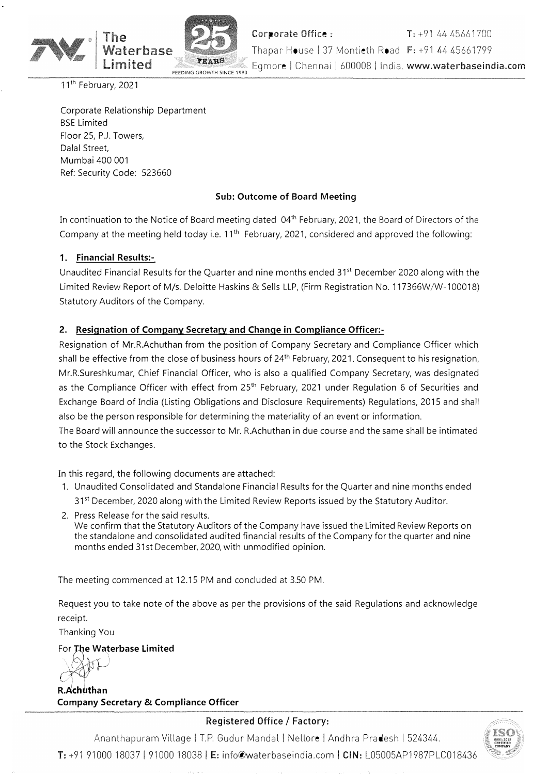

11<sup>th</sup> February, 2021

Corporate Relationship Department BSE Limited Floor 25, P.J. Towers, Dalal Street, Mumbai 400 001 Ref: Security Code: 523660

### **Sub: Outcome of Board Meeting**

In continuation to the Notice of Board meeting dated 04<sup>th</sup> February, 2021, the Board of Directors of the Company at the meeting held today i.e.  $11<sup>th</sup>$  February, 2021, considered and approved the following:

### **1. Financial Results:-**

Unaudited Financial Results for the Quarter and nine months ended 31 $^{\rm st}$  December 2020 along with the Limited Review Report of M/s. Deloitte Haskins & Sells LLP, (Firm Registration No. 117366W/W-100018) Statutory Auditors of the Company.

### **2. Resignation of Company Secretary and Change in Compliance Officer:-**

Resignation of Mr.R.Achuthan from the position of Company Secretary and Compliance Officer which shall be effective from the close of business hours of 24<sup>th</sup> February, 2021. Consequent to his resignation, Mr.R.Sureshkumar, Chief Financial Officer, who is also a qualified Company Secretary, was designated as the Compliance Officer with effect from 25<sup>th</sup> February, 2021 under Regulation 6 of Securities and Exchange Board of India (Listing Obligations and Disclosure Requirements) Regulations, 2015 and shall also be the person responsible for determining the materiality of an event or information.

The Board will announce the successor to Mr. R.Achuthan in due course and the same shall be intimated to the Stock Exchanges.

In this regard, the following documents are attached:

- 1. Unaudited Consolidated and Standalone Financial Results for the Quarter and nine months ended 31<sup>st</sup> December, 2020 along with the Limited Review Reports issued by the Statutory Auditor.
- 2. Press Release for the said results. We confirm that the Statutory Auditors of the Company have issued the Limited Review Reports on the standalone and consolidated audited financial results of the Company for the quarter and nine months ended 31st December, 2020, with unmodified opinion.

The meeting commenced at 12.15 PM and concluded at 3.50 PM.

Request you to take note of the above as per the provisions of the said Regulations and acknowledge receipt.

Thanking You

#### For **The Waterbase Limited**   $\mathcal{W}$

*:\ // .* }-'  $\left( \mathcal{A}\right)$ **R.Achuthan Company Secretary & Compliance Officer** 

### Registered Office/ Factory:

Ananthapuram Village I T.P. Gudur Mandal I Nellore I Andhra Pradesh I 524344. T: +91 91000 18037 I 91000 18038 I E: info@waterbaseindia.com I CIN: L05005AP1987PLC018436

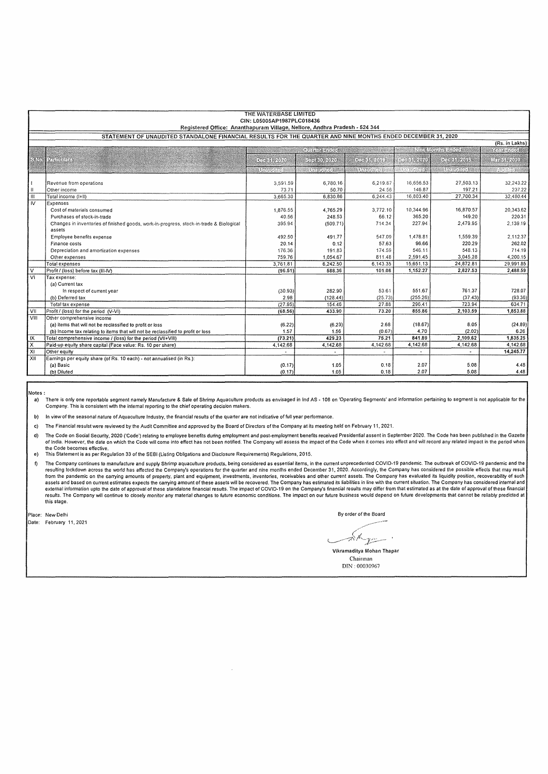| THE WATERBASE LIMITED<br>CIN: L05005AP1987PLC018436<br>Registered Office: Ananthapuram Village, Nellore, Andhra Pradesh - 524 344 |                                                                                         |                        |                      |                     |                       |                  |                 |  |  |  |  |  |
|-----------------------------------------------------------------------------------------------------------------------------------|-----------------------------------------------------------------------------------------|------------------------|----------------------|---------------------|-----------------------|------------------|-----------------|--|--|--|--|--|
| STATEMENT OF UNAUDITED STANDALONE FINANCIAL RESULTS FOR THE QUARTER AND NINE MONTHS ENDED DECEMBER 31, 2020                       |                                                                                         |                        |                      |                     |                       |                  |                 |  |  |  |  |  |
| (Rs. in Lakhs)                                                                                                                    |                                                                                         |                        |                      |                     |                       |                  |                 |  |  |  |  |  |
|                                                                                                                                   | <b>Anti-Months Sides</b><br><b>Official Andrew</b>                                      |                        |                      |                     |                       |                  |                 |  |  |  |  |  |
|                                                                                                                                   |                                                                                         |                        |                      |                     |                       |                  | ikaiseiten      |  |  |  |  |  |
|                                                                                                                                   | SND Louisian                                                                            | <b>DIRIRI</b> YA       | 200808-0705          | 03931200            | <b>REGIONAL AND A</b> | <u>Pichart</u> h | <b>REGISTER</b> |  |  |  |  |  |
|                                                                                                                                   |                                                                                         | <b>Section</b> Control | <b>Senandical Co</b> | <b>MARTING ROLL</b> | ente font e           | en francosk      | ana a           |  |  |  |  |  |
|                                                                                                                                   |                                                                                         |                        |                      |                     |                       |                  |                 |  |  |  |  |  |
|                                                                                                                                   | Revenue from operations                                                                 | 3,591.59               | 6,780.16             | 6,219.87            | 16.656.53             | 27,503.13        | 32,243.22       |  |  |  |  |  |
| Ħ                                                                                                                                 | Other income                                                                            | 73.71                  | 50.70                | 24.56               | 146,87                | 197.21           | 237.22          |  |  |  |  |  |
| $\overline{\mathbf{m}}$                                                                                                           | Total income (I+II)                                                                     | 3,665.30               | 6,830.86             | 6,244.43            | 16.803,40             | 27,700.34        | 32,480.44       |  |  |  |  |  |
| $\overline{N}$                                                                                                                    | Expenses                                                                                |                        |                      |                     |                       |                  |                 |  |  |  |  |  |
|                                                                                                                                   | Cost of materials consumed                                                              | 1,876.55               | 4,765.29             | 3.772.10            | 10,344.96             | 16,870.57        | 20.343.62       |  |  |  |  |  |
|                                                                                                                                   | Purchases of stock-in-trade                                                             | 40.56                  | 248.53               | 66.12               | 365,20                | 149.20           | 220.31          |  |  |  |  |  |
|                                                                                                                                   | Changes in inventories of finished goods, work-in-progress, stock-in-trade & Biological | 395.94                 | (509.71)             | 714.34              | 227.94                | 2,479.95         | 2,139.19        |  |  |  |  |  |
|                                                                                                                                   | assets                                                                                  |                        |                      |                     |                       |                  |                 |  |  |  |  |  |
|                                                                                                                                   | Employee benefits expense                                                               | 492.50                 | 491.77               | 547.09              | 1,478.81              | 1,559.39         | 2,112.37        |  |  |  |  |  |
|                                                                                                                                   | Finance costs                                                                           | 20.14                  | 0.12                 | 57.63               | 96.66                 | 220.29           | 262.02          |  |  |  |  |  |
|                                                                                                                                   | Depreciation and amortization expenses                                                  | 176.36                 | 191.83               | 174.59              | 546.11                | 548.13           | 714.19          |  |  |  |  |  |
|                                                                                                                                   | Other expenses                                                                          | 759.76                 | 1,054.67             | 811.48              | 2,591.45              | 3.045.28         | 4,200.15        |  |  |  |  |  |
|                                                                                                                                   | Total expenses                                                                          | 3,761.81               | 6,242.50             | 6.143.35            | 15,651.13             | 24,872.81        | 29.991.85       |  |  |  |  |  |
| v                                                                                                                                 | Profit / (loss) before tax (III-IV)                                                     | (96.51)                | 588.36               | 101.08              | 1.152.27              | 2.827.53         | 2,488.59        |  |  |  |  |  |
| V1                                                                                                                                | Tax expense:                                                                            |                        |                      |                     |                       |                  |                 |  |  |  |  |  |
|                                                                                                                                   | (a) Current tax                                                                         |                        |                      |                     |                       |                  |                 |  |  |  |  |  |
|                                                                                                                                   | In respect of current year                                                              | (30.93)                | 282.90               | 53.61               | 551.67                | 761.37           | 728.07          |  |  |  |  |  |
|                                                                                                                                   | (b) Deferred tax                                                                        | 2.98                   | (128.44)             | (25.73)             | (255.26)              | (37.43)          | (93.36)         |  |  |  |  |  |
|                                                                                                                                   | Total tax expense                                                                       | (27.95)                | 154.46               | 27.88               | 296.41                | 723.94           | 634.71          |  |  |  |  |  |
| VII                                                                                                                               | Profit / (loss) for the period (V-VI)                                                   | (68.56)                | 433.90               | 73.20               | 855.86                | 2,103.59         | 1,853.88        |  |  |  |  |  |
| VIII                                                                                                                              | Other comprehensive income                                                              |                        |                      |                     |                       |                  |                 |  |  |  |  |  |
|                                                                                                                                   | (a) items that will not be reclassified to profit or loss                               | (6.22)                 | (6.23)               | 2.68                | (18.67)               | 8.05             | (24.89)         |  |  |  |  |  |
|                                                                                                                                   | (b) Income tax relating to items that will not be reclassified to profit or loss        | 1.57                   | 1.56                 | (0.67)              | 4.70                  | (2.02)           | 6.26            |  |  |  |  |  |
| IX                                                                                                                                | Total comprehensive income / (loss) for the period (VII+VIII)                           | (73.21)                | 429.23               | 75.21               | 841.89                | 2,109.62         | 1,835.25        |  |  |  |  |  |
| x                                                                                                                                 | Paid-up equity share capital (Face value: Rs. 10 per share)                             | 4,142.68               | 4,142.68             | 4,142.68            | 4,142.68              | 4,142.68         | 4.142.68        |  |  |  |  |  |
| $\overline{x}$                                                                                                                    | Other equity                                                                            |                        | $\ddot{\phantom{0}}$ |                     |                       |                  | 14,245.77       |  |  |  |  |  |
| XII                                                                                                                               | Earnings per equity share (of Rs. 10 each) - not annualised (in Rs.):                   |                        |                      |                     |                       |                  |                 |  |  |  |  |  |
|                                                                                                                                   | (a) Basic                                                                               | (0.17)                 | 1.05                 | 0.18                | 2.07                  | 5.08             | 4.48            |  |  |  |  |  |
|                                                                                                                                   | (b) Diluted                                                                             | (0.17)                 | 1.05                 | 0.18                | 2.07                  | 5.08             | 4.48            |  |  |  |  |  |

Notes:

a) There is only one reportable segment namely Manufacture & Sale of Shrimp Aquaculture products as envisaged in Ind AS - 108 on 'Operating Segments' and information pertaining to segment is not applicable for the chief op

b) In view of the seasonal nature of Aquaculture Industry, the financial results of the quarter are not indicative of full year performance.

c) The Financial resulst were reviewed by the Audit Committee and approved by the Board of Directors of the Company at its meeting held on February 11, 2021.

 $\bar{\phantom{a}}$ 

d) The Code on Social Security, 2020 ('Code') relating to employee benefits during employment and post-employment benefits received Presidential assent in September 2020. The Code has been published in the Gazette الصورة the Code becomes effective.

e) This Statement is as per Regulation 33 of the SEBI (listing Obligations and Disclosure Requirements) Regulations, 2015.

f) The Company continues to manufacture and supply Shrimp aquaculture products, being considered as essential items, in the current unprecedented COVID• 19 pandemic. The outbreak of COVID• 19 pandemic and the resulting lockdown across the world has affected the Company's operations for the quarter and nine months ended December 31, 2020. Accordingly, the Company has considered the possible effects that may result for the quarte results. The Company will continue to closely monitor any material changes to future economic conditions. The impact on our future business would depend on future developments that cannot be reliably predicted at this stage.

Place: New Delhi

Date: February 11, 2021

By order of the Board

Alge

Vikramaditya Mohan Thapar Chairman DIN · *0003096i*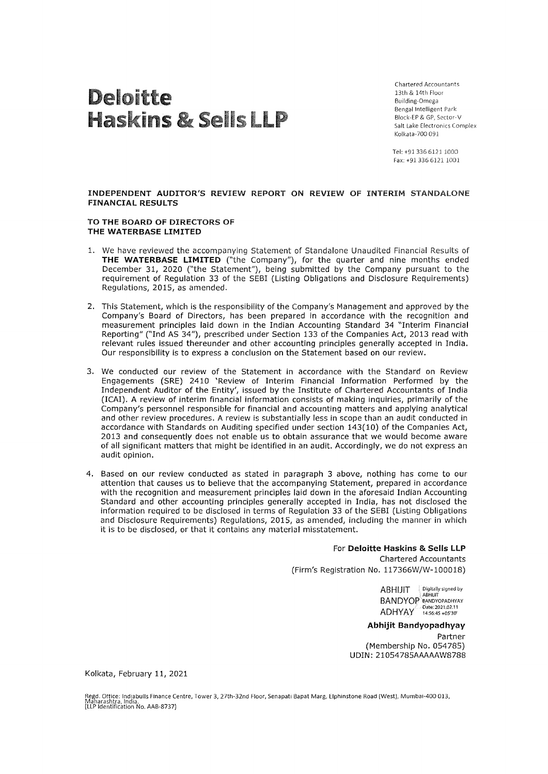# Deloitte Haskins & Sells LLP

Chartered Accountants 13th & 14th Floor Building-Omega Bengal Intelligent Park Block-EP & GP, Sector-V Salt Lake Electronics Complex Kolkata-700 091

Tel: +91 336 61211000 Fax: +91 336 6121 1001

**INDEPENDENT AUDITOR'S REVIEW REPORT ON REVIEW OF INTERIM** STANDALONE **FINANCIAL RESULTS** 

#### **TO THE BOARD OF DIRECTORS OF THE WATERBASE LIMITED**

- 1. We have reviewed the accompanying Statement of Standalone Unaudited Financial Results of **THE WATERBASE LIMITED** ("the Company"), for the quarter and nine months ended December 31, 2020 ("the Statement"), being submitted by the Company pursuant to the requirement of Regulation 33 of the SEBI (Listing Obligations and Disclosure Requirements) Regulations, 2015, as amended.
- 2. This Statement, which is the responsibility of the Company's Management and approved by the Company's Board of Directors, has been prepared in accordance with the recognition and measurement principles laid down in the Indian Accounting Standard 34 "Interim Financial Reporting" ("Ind AS 34"), prescribed under Section 133 of the Companies Act, 2013 read with relevant rules issued thereunder and other accounting principles generally accepted in India. Our responsibility is to express a conclusion on the Statement based on our review.
- 3. We conducted our review of the Statement in accordance with the Standard on Review Engagements (SRE) 2410 'Review of Interim Financial Information Performed by the Independent Auditor of the Entity', issued by the Institute of Chartered Accountants of India (!CAI). **A** review of interim financial information consists of making inquiries, primarily of the Company's personnel responsible for financial and accounting matters and applying analytical and other review procedures. A review is substantially less in scope than an audit conducted in accordance with Standards on Auditing specified under section 143(10) of the Companies Act, 2013 and consequently does not enable us to obtain assurance that we would become aware of all significant matters that might be identified in an audit. Accordingly, we do not express an audit opinion.
- 4. Based on our review conducted as stated in paragraph 3 above, nothing has come to our attention that causes us to believe that the accompanying Statement, prepared in accordance with the recognition and measurement principles laid down in the aforesaid Indian Accounting Standard and other accounting principles generally accepted in India, has not disclosed the information required to be disclosed in terms of Regulation 33 of the SEBI (Listing Obligations and Disclosure Requirements) Regulations, 2015, as amended, including the manner in which it is to be disclosed, or that it contains any material misstatement.

#### For **Deloitte Haskins** & **Sells LLP**

Chartered Accountants (Firm's Registration No. 117366W/W-100018)

> ABHIJIT Digitally signed by BANDYOP BANDYOPADHYAY ADHYAY Date: 2021.02.11

#### **Abhijit Bandyopadhyay**

Partner (Membership No. 054785) UDIN: 21054785AAAAAW8788

Kolkata, February 11, 2021

Regd. Ottice: Indiabulls Finance Centre, Tower 3, 27th-32nd Floor, Senapati Bapat Marg, Elphinstone Road (West), Mumbai-400 013,<br>Mahacarkta Maharashtra, India. (LLP Identification No. AAB-8737)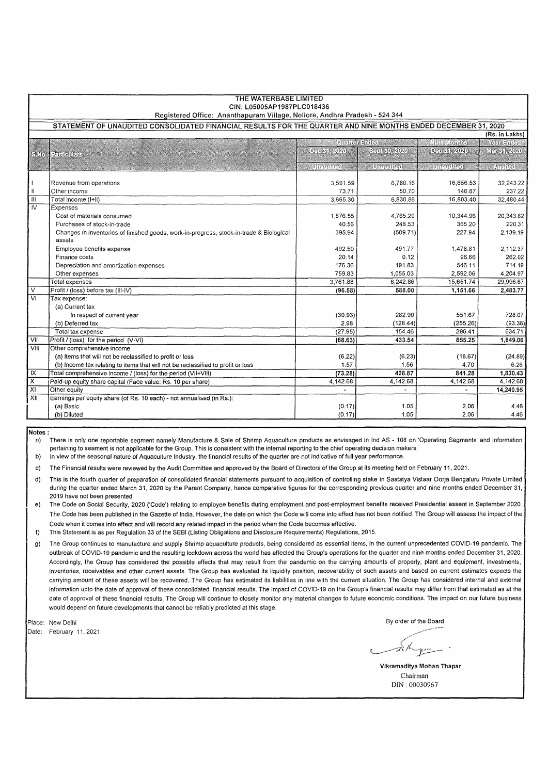| THE WATERBASE LIMITED<br>CIN: L05005AP1987PLC018436                                                           |                                                                                                   |                                                    |                  |                    |                 |  |  |  |  |  |  |  |
|---------------------------------------------------------------------------------------------------------------|---------------------------------------------------------------------------------------------------|----------------------------------------------------|------------------|--------------------|-----------------|--|--|--|--|--|--|--|
| Registered Office: Ananthapuram Village, Nellore, Andhra Pradesh - 524 344                                    |                                                                                                   |                                                    |                  |                    |                 |  |  |  |  |  |  |  |
| STATEMENT OF UNAUDITED CONSOLIDATED FINANCIAL RESULTS FOR THE QUARTER AND NINE MONTHS ENDED DECEMBER 31, 2020 |                                                                                                   |                                                    |                  |                    |                 |  |  |  |  |  |  |  |
| (Rs. in Lakhs)                                                                                                |                                                                                                   |                                                    |                  |                    |                 |  |  |  |  |  |  |  |
|                                                                                                               |                                                                                                   | ាមអង្គោងពីអីអី<br>ាកាល សារណ៍ទ<br><b>Year Study</b> |                  |                    |                 |  |  |  |  |  |  |  |
| $-1.65$                                                                                                       | <b>Padanetes</b>                                                                                  | <b>ORANDON</b>                                     | - STORIC ADA     | <b>DEE 《红 2020</b> | MET 351-2020    |  |  |  |  |  |  |  |
|                                                                                                               |                                                                                                   |                                                    |                  | <b>BRATCUZE</b>    |                 |  |  |  |  |  |  |  |
|                                                                                                               |                                                                                                   | in an Ira                                          | <b>Meuclical</b> |                    | <b>FAMILIAE</b> |  |  |  |  |  |  |  |
|                                                                                                               | Revenue from operations                                                                           | 3,591.59                                           | 6,780.16         | 16,656.53          | 32,243.22       |  |  |  |  |  |  |  |
| $\ $                                                                                                          | Other income                                                                                      | 73.71                                              | 50.70            | 146.87             | 237.22          |  |  |  |  |  |  |  |
| Ш                                                                                                             | Total income (I+II)                                                                               | 3.665.30                                           | 6,830.86         | 16,803.40          | 32,480.44       |  |  |  |  |  |  |  |
| $\overline{N}$                                                                                                | Expenses                                                                                          |                                                    |                  |                    |                 |  |  |  |  |  |  |  |
|                                                                                                               | Cost of materials consumed                                                                        | 1,876.55                                           | 4,765.29         | 10,344.96          | 20,343.62       |  |  |  |  |  |  |  |
|                                                                                                               | Purchases of stock-in-trade                                                                       | 40.56                                              | 248.53           | 365.20             | 220.31          |  |  |  |  |  |  |  |
|                                                                                                               | Changes in inventories of finished goods, work-in-progress, stock-in-trade & Biological<br>assets | 395.94                                             | (509.71)         | 227.94             | 2,139.19        |  |  |  |  |  |  |  |
|                                                                                                               | Employee benefits expense                                                                         | 492.50                                             | 491.77           | 1,478.81           | 2.112.37        |  |  |  |  |  |  |  |
|                                                                                                               | Finance costs                                                                                     | 20.14                                              | 0.12             | 96.66              | 262.02          |  |  |  |  |  |  |  |
|                                                                                                               | Depreciation and amortization expenses                                                            | 176.36                                             | 191.83           | 546.11             | 714.19          |  |  |  |  |  |  |  |
|                                                                                                               | Other expenses                                                                                    | 759.83                                             | 1,055.03         | 2,592.06           | 4,204.97        |  |  |  |  |  |  |  |
|                                                                                                               | <b>Total expenses</b>                                                                             | 3,761.88                                           | 6,242.86         | 15,651.74          | 29,996.67       |  |  |  |  |  |  |  |
| $\overline{\mathtt{v}}$                                                                                       | Profit / (loss) before tax (III-IV)                                                               | (96.58)                                            | 588.00           | 1,151.66           | 2,483.77        |  |  |  |  |  |  |  |
| $\overline{\text{VI}}$                                                                                        | Tax expense:                                                                                      |                                                    |                  |                    |                 |  |  |  |  |  |  |  |
|                                                                                                               | (a) Current tax                                                                                   |                                                    |                  |                    |                 |  |  |  |  |  |  |  |
|                                                                                                               | In respect of current year                                                                        | (30.93)                                            | 282.90           | 551.67             | 728.07          |  |  |  |  |  |  |  |
|                                                                                                               | (b) Deferred tax                                                                                  | 2.98                                               | (128.44)         | (255.26)           | (93.36)         |  |  |  |  |  |  |  |
|                                                                                                               | Total tax expense                                                                                 | (27.95)                                            | 154.46           | 296.41             | 634.71          |  |  |  |  |  |  |  |
| VII                                                                                                           | Profit / (loss) for the period (V-VI)                                                             | (68.63)                                            | 433.54           | 855.25             | 1,849.06        |  |  |  |  |  |  |  |
| VIII                                                                                                          | Other comprehensive income                                                                        |                                                    |                  |                    |                 |  |  |  |  |  |  |  |
|                                                                                                               | (a) Items that will not be reclassified to profit or loss                                         | (6.22)                                             | (6.23)           | (18.67)            | (24.89)         |  |  |  |  |  |  |  |
|                                                                                                               | (b) Income tax relating to items that will not be reclassified to profit or loss                  | 1.57                                               | 1.56             | 4.70               | 6.26            |  |  |  |  |  |  |  |
| IX                                                                                                            | Total comprehensive income / (loss) for the period (VII+VIII)                                     | (73.28)                                            | 428.87           | 841.28             | 1,830.43        |  |  |  |  |  |  |  |
| $\overline{\mathsf{x}}$                                                                                       | Paid-up equity share capital (Face value: Rs. 10 per share)                                       | 4,142.68                                           | 4,142.68         | 4 142.68           | 4,142.68        |  |  |  |  |  |  |  |
| $\overline{X}$                                                                                                | Other equity                                                                                      | $\omega$                                           | ÷.               |                    | 14,240.95       |  |  |  |  |  |  |  |
| XII                                                                                                           | Earnings per equity share (of Rs. 10 each) - not annualised (in Rs.):                             |                                                    |                  |                    |                 |  |  |  |  |  |  |  |
|                                                                                                               | (a) Basic                                                                                         | (0.17)                                             | 1.05             | 2.06               | 4.46            |  |  |  |  |  |  |  |
|                                                                                                               | (b) Diluted                                                                                       | (0.17)                                             | 1.05             | 2.06               | 4.46            |  |  |  |  |  |  |  |

**Notes:** 

a) There is only one reportable segment namely Manufacture & Sale of Shrimp Aquaculture products as envisaged in Ind AS - 108 on 'Operating Segments' and information pertaining to seament is not applicable for the Group. This is consistent with the internal reporting to the chief operating decision makers.

b) In view of the seasonal nature of Aquaculture Industry, the financial results of the quarter are not indicative of full year performance.

c) The Financial results were reviewed by the Audit Committee and approved by the Board of Directors of the Group at its meeting held on February 11, 2021.

d) This is the fourth quarter of preparation of consolidated financial statements pursuant to acquisition of controlling stake in Saatatya Vistaar Oorja Bengaluru Private Limited during the quarter ended March 31, 2020 by the Parent Company, hence comparative figures for the corresponding previous quarter and nine months ended December 31, 2019 have not been presented

e) The Code on Social Security, 2020 ('Code') relating to employee benefits during employment and post-employment benefits received Presidential assent in September 2020. The Code has been published in the Gazette of India. However, the date on which the Code will come into effect has not been notified. The Group will assess the impact of the Code when it comes into effect and will record any related impact in the period when the Code becomes effective.

f) This Statement is as per Regulation 33 of the SEBI (Listing Obligations and Disclosure Requirements) Regulations, 2015.

g) The Group continues to manufacture and supply Shrimp aquaculture products, being considered as essential items, in the current unprecedented COVID-19 pandemic. The outbreak of COVID-19 pandemic and the resulting lockdown across the wortd has affected the Group's operations for the quarter and nine months ended December 31, 2020. Accordingly, the Group has considered the possible effects that may result from the pandemic on the carrying amounts of property, plant and equipment, investments, inventories, receivables and other current assets. The Group has evaluated its liquidity position, recoverability of such assets and based on current estimates expects the carrying amount of these assets will be recovered. The Group has estimated its liabilities in line with the current situation, The Group has considered internal and external information upto the date of approval of these consolidated financial results. The impact of COVID-19 on the Group's financial results may differ from that estimated as at the date of approval of these financial results. The Group will continue to closely monitor any material changes to future economic conditions, The impact on our future business would depend on future developments that cannot be reliably predicted at this stage.

Place: New Delhi

Date: February 11, 2021

By order of the Board

.,,,..--~·,.,-·~---"-

*1...--~<;~J.::.:---*

**Vikramaditya Mohan Thapar**  Chairman DIN : 00030967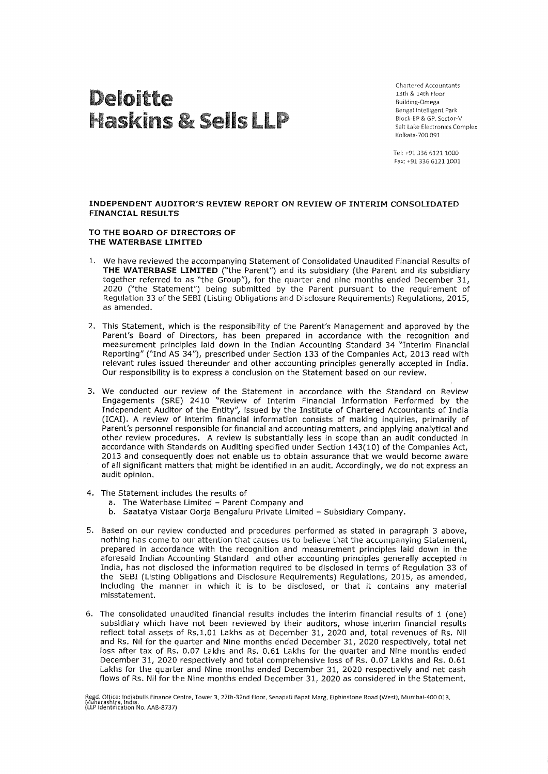# Deloitte Haskins & Sells LLP

Chartered Accountants 13th & 14th Floor Building-Omega Bengal Intelligent Park Block-EP & GP, Sector-V Salt Lake Electronics Complex Kolkata-700 091

Tel: +91 336 61211000 Fax: +91 336 6121 1001

#### **INDEPENDENT AUDITOR'S REVIEW REPORT ON REVIEW OF INTERIM CONSOLIDATED FINANCIAL RESULTS**

#### **TO THE BOARD OF DIRECTORS OF THE WATERBASE LIMITED**

- 1. We have reviewed the accompanying Statement of Consolidated Unaudited Financial Results of **THE WATERBASE LIMITED** ("the Parent") and its subsidiary (the Parent and its subsidiary together referred to as "the Group"), for the quarter and nine months ended December 31, 2020 ("the Statement") being submitted by the Parent pursuant to the requirement of Regulation 33 of the SEBI (Listing Obligations and Disclosure Requirements) Regulations, 2015, as amended.
- 2. This Statement, which is the responsibility of the Parent's Management and approved by the Parent's Board of Directors, has been prepared in accordance with the recognition and measurement principles laid down in the Indian Accounting Standard 34 "Interim Financial Reporting" ("Ind AS 34"), prescribed under Section 133 of the Companies Act, 2013 read with relevant rules issued thereunder and other accounting principles generally accepted in India. Our responsibility is to express a conclusion on the Statement based on our review.
- 3. We conducted our review of the Statement in accordance with the Standard on Review Engagements (SRE) 2410 "Review of Interim Financial Information Performed by the Independent Auditor of the Entity", issued by the Institute of Chartered Accountants of India (!CAI). A review of interim financial information consists of making inquiries, primarily of Parent's personnel responsible for financial and accounting matters, and applying analytical and other review procedures. A review is substantially less in scope than an audit conducted in accordance with Standards on Auditing specified under Section 143(10) of the Companies Act, 2013 and consequently does not enable us to obtain assurance that we would become aware of all significant matters that might be identified in an audit. Accordingly, we do not express an audit opinion.
- 4. The Statement includes the results of
	- a. The Waterbase Limited Parent Company and
	- b. Saatatya Vistaar Oorja Bengaluru Private Limited Subsidiary Company.
- 5. Based on our review conducted and procedures performed as stated in paragraph 3 above, nothing has come to our attention that causes us to believe that the accompanying Statement, prepared in accordance with the recognition and measurement principles laid down in the aforesaid Indian Accounting Standard and other accounting principles generally accepted in India, has not disclosed the information required to be disclosed in terms of Regulation 33 of the SEBI (Listing Obligations and Disclosure Requirements) Regulations, 2015, as amended, including the manner in which it is to be disclosed, or that it contains any material misstatement.
- 6. The consolidated unaudited financial results includes the interim financial results of 1 (one) subsidiary which have not been reviewed by their auditors, whose interim financial results reflect total assets of Rs. 1.01 Lakhs as at December 31, 2020 and, total revenues of Rs. Nil and Rs. Nil for the quarter and Nine months ended December 31, 2020 respectively, total net loss after tax of Rs. 0.07 Lakhs and Rs. 0.61 Lakhs for the quarter and Nine months ended December 31, 2020 respectively and total comprehensive loss of Rs. 0.07 Lakhs and Rs. 0.61 Lakhs for the quarter and Nine months ended December 31, 2020 respectively and net cash flows of Rs. Nil for the Nine months ended December 31, 2020 as considered in the Statement.

~tar~~~i~~.'rnddfabulls Finance Centre, Tower 3, 27th-32nd Floor, Senapati Bapat Marg, Elphinstone Road (West), Mumbai-400 013, (LLP Identification No. AAB-8737)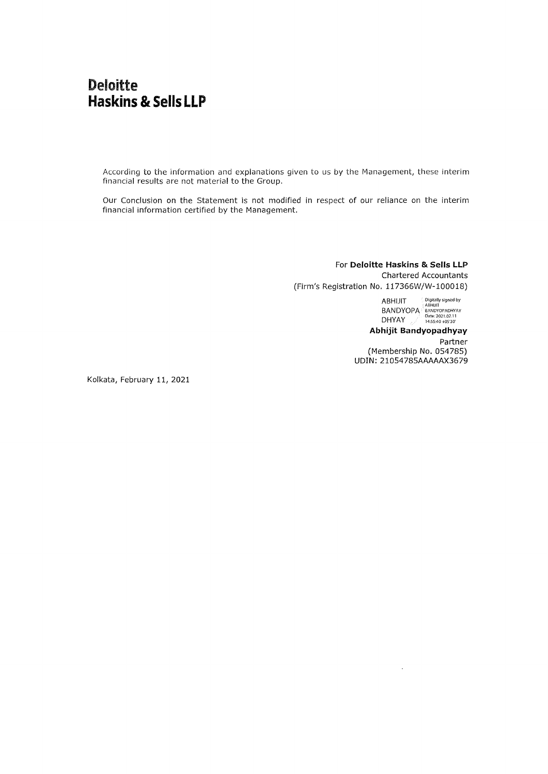### **Deloitte Haskins & Sells LLP**

According to the information and explanations given to us by the Management, these interim financial results are not material to the Group.

Our Conclusion on the Statement is not modified in respect of our reliance on the interim financial information certified by the Management.

> For **Deloitte Haskins & Sells LLP**  Chartered Accountants (Firm's Registration No. 117366W/W-100018)

> > $ABH$ IJIT  $\qquad \qquad$   $^{Digitally\, signed\, by}_{ARH\, IT}$ BANDYOPA BANDYOPADHYAY DHYAY Date: 2021.02.11

**Abhijit Bandyopadhyay**  Partner (Membership No. 054785) **UDIN:** 21054785AAAAAX3679

 $\cdot$ 

Kolkata, February 11, 2021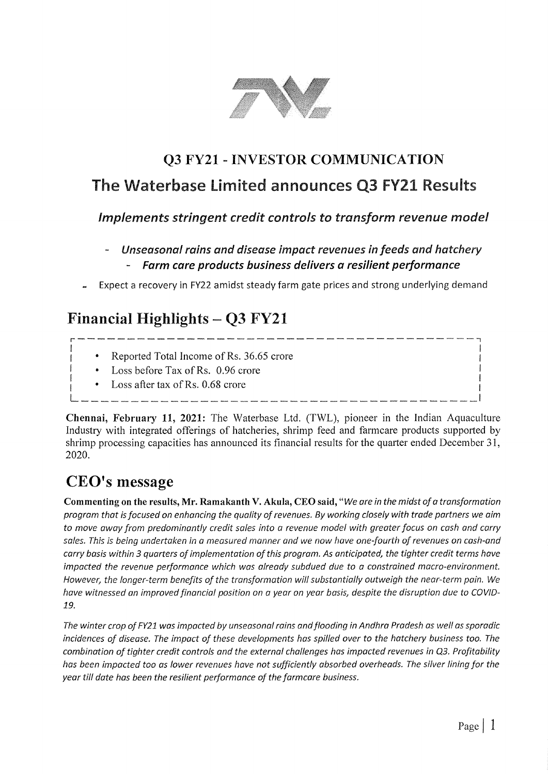

## **Q3 FY21** - **INVESTOR COMMUNICATION**

## The Waterbase limited announces Q3 FY21 Results

*Implements stringent credit controls to transform revenue model* 

- *Unseasonal rains and disease impact revenues in feeds and hatchery*  - *Farm care products business delivers a resilient performance*
- Expect a recovery in FY22 amidst steady farm gate prices and strong underlying demand

# **Financial Highlights** - **Q3 FY21**  r----------------------------------------7

- I extended Total Income of Rs. 36.65 crore 1
	- Loss before Tax of Rs. 0.96 crore
	- Loss after tax of Rs.  $0.68$  crore

**Chennai, February 11, 2021:** The Waterbase Ltd. (TWL), pioneer in the Indian Aquaculture Industry with integrated offerings of hatcheries, shrimp feed and farmcare products supported by shrimp processing capacities has announced its financial results for the quarter ended December 31, 2020.

# **CEO's message**

**Commenting on the results, Mr. Ramakanth V. Akula, CEO said,** *"We are in the midst of a transformation program that is focused on enhancing the quality of revenues. By working closely with trade partners we aim to move away from predominantly credit sales into a revenue model with greater focus on cash and carry sales. This is being undertaken in a measured manner and we now have one-fourth of revenues on cash-and carry basis within 3 quarters of implementation of this program. As anticipated, the tighter credit terms have impacted the revenue performance which was already subdued due to a constrained macro-environment. However, the longer-term benefits of the transformation will substantially outweigh the near-term pain. We have witnessed an improved financial position on a year on year basis, despite the disruption due to COV/0-* **19.** 

*The winter crop of FY21 was impacted by unseasonal rains and flooding in Andhra Pradesh as well as sporadic incidences of disease. The impact of these developments has spilled over to the hatchery business too. The combination of tighter credit controls and the external challenges has impacted revenues in Q3. Profitability has been impacted too as lower revenues have not sufficiently absorbed overheads. The silver lining for the year till date has been the resilient performance of the farmcare business.*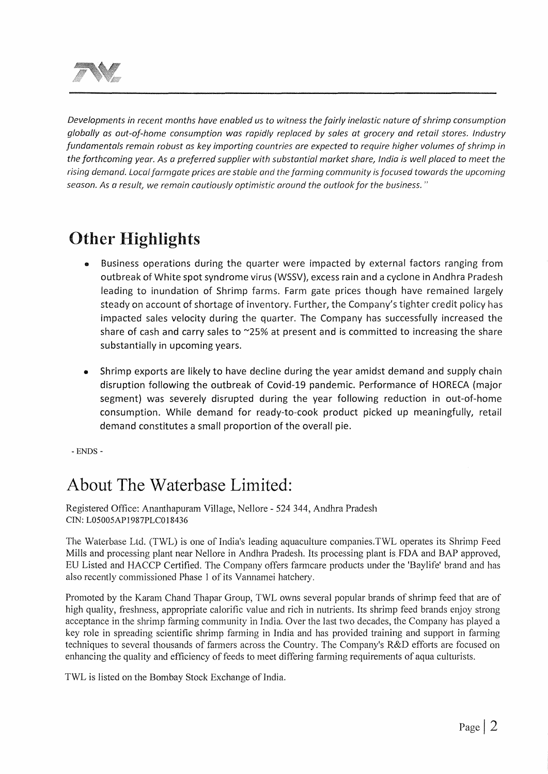

*Developments in recent months have enabled us to witness the fairly inelastic nature of shrimp consumption globally as out-of-home consumption was rapidly replaced by sales at grocery and retail stores. Industry fundamentals remain robust as key importing countries are expected to require higher volumes of shrimp in the forthcoming year. As a preferred supplier with substantial market share, India is well placed to meet the rising demand. Local farmgate prices are stable and the farming community is focused towards the upcoming season. As a result, we remain cautiously optimistic around the outlook for the business.* "

# Other Highlights

- Business operations during the quarter were impacted by external factors ranging from outbreak of White spot syndrome virus (WSSV}, excess rain and a cyclone in Andhra Pradesh leading to inundation of Shrimp farms. Farm gate prices though have remained largely steady on account of shortage of inventory. Further, the Company's tighter credit policy has impacted sales velocity during the quarter. The Company has successfully increased the share of cash and carry sales to ~2s% at present and is committed to increasing the share substantially in upcoming years.
- Shrimp exports are likely to have decline during the year amidst demand and supply chain disruption following the outbreak of Covid-19 pandemic. Performance of HORECA (major segment} was severely disrupted during the year following reduction in out-of-home consumption. While demand for ready-to-cook product picked up meaningfully, retail demand constitutes a small proportion of the overall pie.

- ENDS -

# About The Waterbase Limited:

Registered Office: Ananthapuram Village, Nellore - 524 344, Andhra Pradesh CIN: L05005AP1987PLC018436

The Waterbase Ltd. (TWL) is one of India's leading aquaculture companies.TWL operates its Shrimp Feed Mills and processing plant near Nellore in Andhra Pradesh. Its processing plant is. FDA and BAP approved, EU Listed and HACCP Certified. The Company offers farmcare products under the 'Baylife' brand and has also recently commissioned Phase 1 of its Vannamei hatchery.

Promoted by the Karam Chand Thapar Group, TWL owns several popular brands of shrimp feed that are of high quality, freshness, appropriate calorific value and rich in nutrients. Its shrimp feed brands enjoy strong acceptance in the shrimp farming community in India. Over the last two decades, the Company has played a key role in spreading scientific shrimp farming in India and has provided training and support in farming techniques to several thousands of farmers across the Country. The Company's R&D efforts are focused on enhancing the quality and efficiency of feeds to meet differing farming requirements of aqua culturists.

TWL is listed on the Bombay Stock Exchange of India.